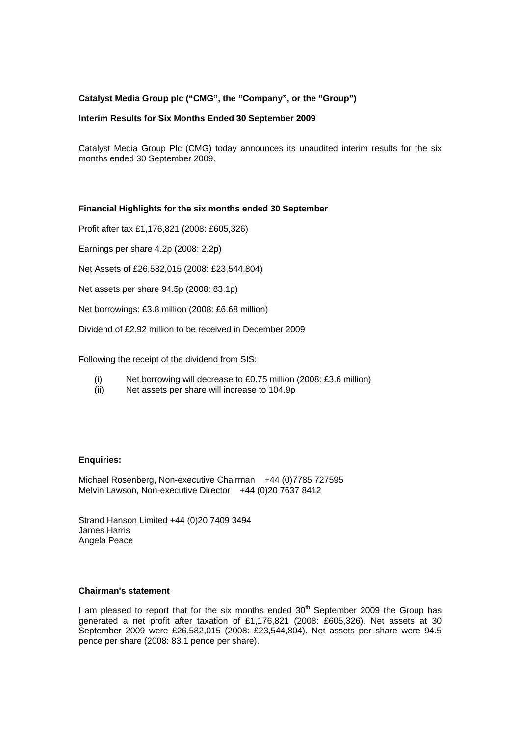## **Catalyst Media Group plc ("CMG", the "Company", or the "Group")**

### **Interim Results for Six Months Ended 30 September 2009**

Catalyst Media Group Plc (CMG) today announces its unaudited interim results for the six months ended 30 September 2009.

### **Financial Highlights for the six months ended 30 September**

Profit after tax £1,176,821 (2008: £605,326)

Earnings per share 4.2p (2008: 2.2p)

Net Assets of £26,582,015 (2008: £23,544,804)

Net assets per share 94.5p (2008: 83.1p)

Net borrowings: £3.8 million (2008: £6.68 million)

Dividend of £2.92 million to be received in December 2009

Following the receipt of the dividend from SIS:

- (i) Net borrowing will decrease to £0.75 million (2008: £3.6 million)
- (ii) Net assets per share will increase to 104.9p

#### **Enquiries:**

Michael Rosenberg, Non-executive Chairman +44 (0)7785 727595 Melvin Lawson, Non-executive Director +44 (0)20 7637 8412

Strand Hanson Limited +44 (0)20 7409 3494 James Harris Angela Peace

## **Chairman's statement**

I am pleased to report that for the six months ended  $30<sup>th</sup>$  September 2009 the Group has generated a net profit after taxation of £1,176,821 (2008: £605,326). Net assets at 30 September 2009 were £26,582,015 (2008: £23,544,804). Net assets per share were 94.5 pence per share (2008: 83.1 pence per share).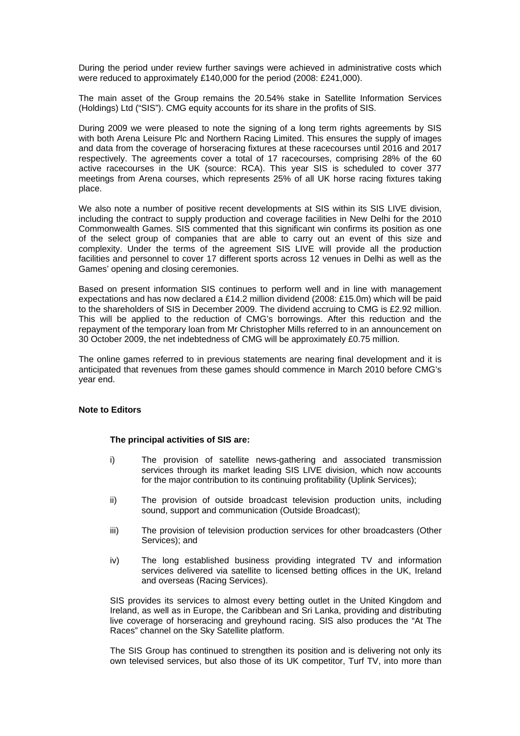During the period under review further savings were achieved in administrative costs which were reduced to approximately £140,000 for the period (2008: £241,000).

The main asset of the Group remains the 20.54% stake in Satellite Information Services (Holdings) Ltd ("SIS"). CMG equity accounts for its share in the profits of SIS.

During 2009 we were pleased to note the signing of a long term rights agreements by SIS with both Arena Leisure Plc and Northern Racing Limited. This ensures the supply of images and data from the coverage of horseracing fixtures at these racecourses until 2016 and 2017 respectively. The agreements cover a total of 17 racecourses, comprising 28% of the 60 active racecourses in the UK (source: RCA). This year SIS is scheduled to cover 377 meetings from Arena courses, which represents 25% of all UK horse racing fixtures taking place.

We also note a number of positive recent developments at SIS within its SIS LIVE division. including the contract to supply production and coverage facilities in New Delhi for the 2010 Commonwealth Games. SIS commented that this significant win confirms its position as one of the select group of companies that are able to carry out an event of this size and complexity. Under the terms of the agreement SIS LIVE will provide all the production facilities and personnel to cover 17 different sports across 12 venues in Delhi as well as the Games' opening and closing ceremonies.

Based on present information SIS continues to perform well and in line with management expectations and has now declared a £14.2 million dividend (2008: £15.0m) which will be paid to the shareholders of SIS in December 2009. The dividend accruing to CMG is £2.92 million. This will be applied to the reduction of CMG's borrowings. After this reduction and the repayment of the temporary loan from Mr Christopher Mills referred to in an announcement on 30 October 2009, the net indebtedness of CMG will be approximately £0.75 million.

The online games referred to in previous statements are nearing final development and it is anticipated that revenues from these games should commence in March 2010 before CMG's year end.

#### **Note to Editors**

#### **The principal activities of SIS are:**

- i) The provision of satellite news-gathering and associated transmission services through its market leading SIS LIVE division, which now accounts for the major contribution to its continuing profitability (Uplink Services);
- ii) The provision of outside broadcast television production units, including sound, support and communication (Outside Broadcast);
- iii) The provision of television production services for other broadcasters (Other Services); and
- iv) The long established business providing integrated TV and information services delivered via satellite to licensed betting offices in the UK, Ireland and overseas (Racing Services).

SIS provides its services to almost every betting outlet in the United Kingdom and Ireland, as well as in Europe, the Caribbean and Sri Lanka, providing and distributing live coverage of horseracing and greyhound racing. SIS also produces the "At The Races" channel on the Sky Satellite platform.

The SIS Group has continued to strengthen its position and is delivering not only its own televised services, but also those of its UK competitor, Turf TV, into more than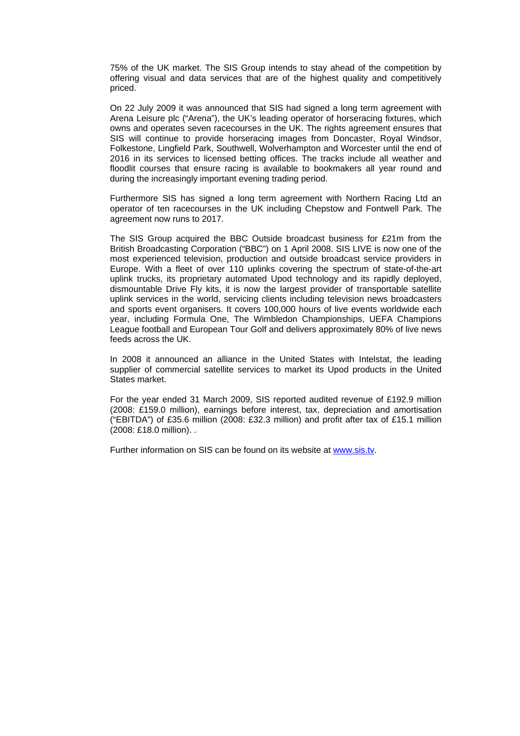75% of the UK market. The SIS Group intends to stay ahead of the competition by offering visual and data services that are of the highest quality and competitively priced.

On 22 July 2009 it was announced that SIS had signed a long term agreement with Arena Leisure plc ("Arena"), the UK's leading operator of horseracing fixtures, which owns and operates seven racecourses in the UK. The rights agreement ensures that SIS will continue to provide horseracing images from Doncaster, Royal Windsor, Folkestone, Lingfield Park, Southwell, Wolverhampton and Worcester until the end of 2016 in its services to licensed betting offices. The tracks include all weather and floodlit courses that ensure racing is available to bookmakers all year round and during the increasingly important evening trading period.

Furthermore SIS has signed a long term agreement with Northern Racing Ltd an operator of ten racecourses in the UK including Chepstow and Fontwell Park. The agreement now runs to 2017.

The SIS Group acquired the BBC Outside broadcast business for £21m from the British Broadcasting Corporation ("BBC") on 1 April 2008. SIS LIVE is now one of the most experienced television, production and outside broadcast service providers in Europe. With a fleet of over 110 uplinks covering the spectrum of state-of-the-art uplink trucks, its proprietary automated Upod technology and its rapidly deployed, dismountable Drive Fly kits, it is now the largest provider of transportable satellite uplink services in the world, servicing clients including television news broadcasters and sports event organisers. It covers 100,000 hours of live events worldwide each year, including Formula One, The Wimbledon Championships, UEFA Champions League football and European Tour Golf and delivers approximately 80% of live news feeds across the UK.

In 2008 it announced an alliance in the United States with Intelstat, the leading supplier of commercial satellite services to market its Upod products in the United States market.

For the year ended 31 March 2009, SIS reported audited revenue of £192.9 million (2008: £159.0 million), earnings before interest, tax, depreciation and amortisation ("EBITDA") of £35.6 million (2008: £32.3 million) and profit after tax of £15.1 million (2008: £18.0 million). .

Further information on SIS can be found on its website at [www.sis.tv](http://www.sis.tv/).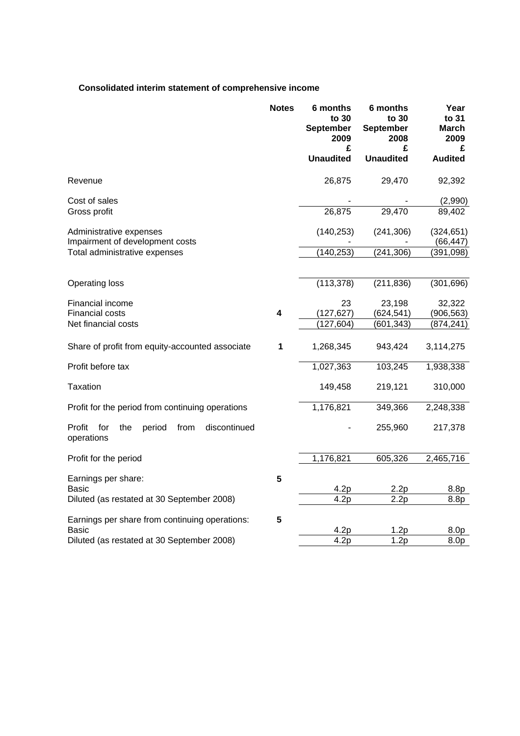# **Consolidated interim statement of comprehensive income**

|                                                                      | <b>Notes</b>            | 6 months<br>to 30<br><b>September</b><br>2009<br>£<br><b>Unaudited</b> | 6 months<br>to 30<br><b>September</b><br>2008<br>£<br><b>Unaudited</b> | Year<br>to 31<br><b>March</b><br>2009<br>£<br><b>Audited</b> |
|----------------------------------------------------------------------|-------------------------|------------------------------------------------------------------------|------------------------------------------------------------------------|--------------------------------------------------------------|
|                                                                      |                         |                                                                        |                                                                        |                                                              |
| Revenue                                                              |                         | 26,875                                                                 | 29,470                                                                 | 92,392                                                       |
| Cost of sales<br>Gross profit                                        |                         | 26,875                                                                 | 29,470                                                                 | (2,990)<br>89,402                                            |
| Administrative expenses<br>Impairment of development costs           |                         | (140, 253)                                                             | (241, 306)                                                             | (324, 651)<br>(66, 447)                                      |
| Total administrative expenses                                        |                         | (140, 253)                                                             | (241, 306)                                                             | (391, 098)                                                   |
| Operating loss                                                       |                         | (113, 378)                                                             | (211, 836)                                                             | (301, 696)                                                   |
| Financial income<br><b>Financial costs</b>                           | $\overline{\mathbf{4}}$ | 23<br>(127, 627)                                                       | 23,198<br>(624, 541)                                                   | 32,322<br>(906, 563)                                         |
| Net financial costs                                                  |                         | (127, 604)                                                             | (601, 343)                                                             | (874, 241)                                                   |
| Share of profit from equity-accounted associate                      | 1                       | 1,268,345                                                              | 943,424                                                                | 3,114,275                                                    |
| Profit before tax                                                    |                         | 1,027,363                                                              | 103,245                                                                | 1,938,338                                                    |
| <b>Taxation</b>                                                      |                         | 149,458                                                                | 219,121                                                                | 310,000                                                      |
| Profit for the period from continuing operations                     |                         | 1,176,821                                                              | 349,366                                                                | 2,248,338                                                    |
| Profit<br>the<br>period<br>discontinued<br>for<br>from<br>operations |                         |                                                                        | 255,960                                                                | 217,378                                                      |
| Profit for the period                                                |                         | 1,176,821                                                              | 605,326                                                                | 2,465,716                                                    |
| Earnings per share:                                                  | 5                       | 4.2p                                                                   | 2.2p                                                                   |                                                              |
| Basic<br>Diluted (as restated at 30 September 2008)                  |                         | 4.2p                                                                   | 2.2p                                                                   | 8.8p<br>8.8p                                                 |
| Earnings per share from continuing operations:<br><b>Basic</b>       | 5                       | 4.2p                                                                   | 1.2p                                                                   | 8.0p                                                         |
| Diluted (as restated at 30 September 2008)                           |                         | $\overline{4.2}p$                                                      | 1.2p                                                                   | 8.0p                                                         |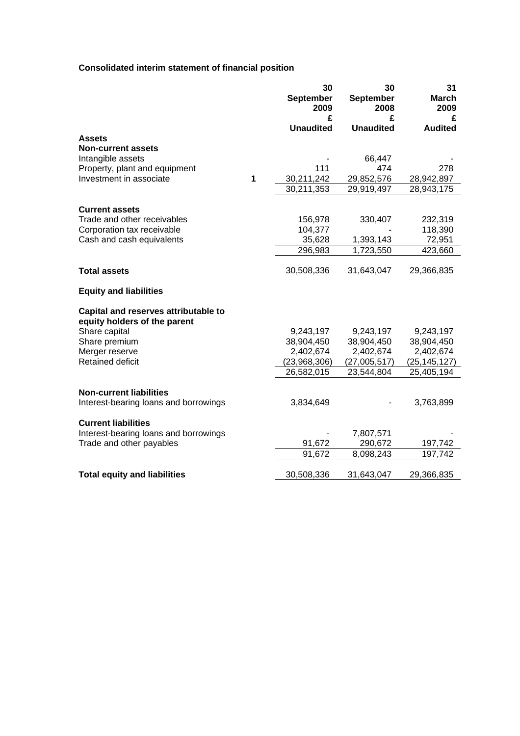# **Consolidated interim statement of financial position**

|                                                                      |   | 30<br>September<br>2009<br>£ | 30<br><b>September</b><br>2008<br>£ | 31<br><b>March</b><br>2009<br>£ |
|----------------------------------------------------------------------|---|------------------------------|-------------------------------------|---------------------------------|
|                                                                      |   | <b>Unaudited</b>             | <b>Unaudited</b>                    | <b>Audited</b>                  |
| <b>Assets</b>                                                        |   |                              |                                     |                                 |
| <b>Non-current assets</b>                                            |   |                              |                                     |                                 |
| Intangible assets                                                    |   |                              | 66,447                              |                                 |
| Property, plant and equipment                                        |   | 111                          | 474                                 | 278                             |
| Investment in associate                                              | 1 | 30,211,242                   | 29,852,576                          | 28,942,897                      |
|                                                                      |   | 30,211,353                   | 29,919,497                          | 28,943,175                      |
| <b>Current assets</b>                                                |   |                              |                                     |                                 |
| Trade and other receivables                                          |   | 156,978                      | 330,407                             | 232,319                         |
| Corporation tax receivable                                           |   | 104,377                      |                                     | 118,390                         |
| Cash and cash equivalents                                            |   | 35,628                       | 1,393,143                           | 72,951                          |
|                                                                      |   | 296,983                      | 1,723,550                           | 423,660                         |
|                                                                      |   |                              |                                     |                                 |
| <b>Total assets</b>                                                  |   | 30,508,336                   | 31,643,047                          | 29,366,835                      |
| <b>Equity and liabilities</b>                                        |   |                              |                                     |                                 |
| Capital and reserves attributable to<br>equity holders of the parent |   |                              |                                     |                                 |
| Share capital                                                        |   | 9,243,197                    | 9,243,197                           | 9,243,197                       |
| Share premium                                                        |   | 38,904,450                   | 38,904,450                          | 38,904,450                      |
| Merger reserve                                                       |   | 2,402,674                    | 2,402,674                           | 2,402,674                       |
| Retained deficit                                                     |   | (23,968,306)                 | (27,005,517)                        | (25,145,127)                    |
|                                                                      |   | 26,582,015                   | 23,544,804                          | 25,405,194                      |
| <b>Non-current liabilities</b>                                       |   |                              |                                     |                                 |
| Interest-bearing loans and borrowings                                |   | 3,834,649                    |                                     | 3,763,899                       |
|                                                                      |   |                              |                                     |                                 |
| <b>Current liabilities</b>                                           |   |                              |                                     |                                 |
| Interest-bearing loans and borrowings                                |   |                              | 7,807,571                           |                                 |
| Trade and other payables                                             |   | 91,672                       | 290,672                             | 197,742                         |
|                                                                      |   | 91,672                       | 8,098,243                           | 197,742                         |
| <b>Total equity and liabilities</b>                                  |   | 30,508,336                   | 31,643,047                          | 29,366,835                      |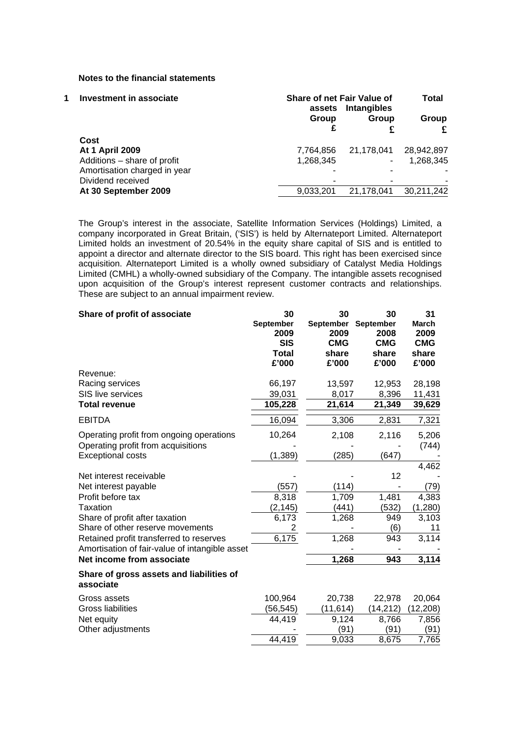#### **Notes to the financial statements**

| <b>Investment in associate</b> |                              | assets    | <b>Share of net Fair Value of</b><br><b>Intangibles</b> |            |  |  |
|--------------------------------|------------------------------|-----------|---------------------------------------------------------|------------|--|--|
|                                |                              | Group     | Group                                                   | Group      |  |  |
|                                |                              |           | £                                                       |            |  |  |
|                                | Cost                         |           |                                                         |            |  |  |
|                                | <b>At 1 April 2009</b>       | 7,764,856 | 21,178,041                                              | 28,942,897 |  |  |
|                                | Additions - share of profit  | 1,268,345 | ۰                                                       | 1,268,345  |  |  |
|                                | Amortisation charged in year |           |                                                         |            |  |  |
|                                | Dividend received            | ۰         |                                                         |            |  |  |
|                                | At 30 September 2009         | 9,033,201 | 21.178.041                                              | 30,211,242 |  |  |

The Group's interest in the associate, Satellite Information Services (Holdings) Limited, a company incorporated in Great Britain, ('SIS') is held by Alternateport Limited. Alternateport Limited holds an investment of 20.54% in the equity share capital of SIS and is entitled to appoint a director and alternate director to the SIS board. This right has been exercised since acquisition. Alternateport Limited is a wholly owned subsidiary of Catalyst Media Holdings Limited (CMHL) a wholly-owned subsidiary of the Company. The intangible assets recognised upon acquisition of the Group's interest represent customer contracts and relationships. These are subject to an annual impairment review.

| Share of profit of associate                          | 30<br><b>September</b><br>2009<br><b>SIS</b><br><b>Total</b><br>£'000 | 30<br><b>September</b><br>2009<br><b>CMG</b><br>share<br>£'000 | 30<br><b>September</b><br>2008<br><b>CMG</b><br>share<br>£'000 | 31<br><b>March</b><br>2009<br><b>CMG</b><br>share<br>£'000 |
|-------------------------------------------------------|-----------------------------------------------------------------------|----------------------------------------------------------------|----------------------------------------------------------------|------------------------------------------------------------|
| Revenue:                                              |                                                                       |                                                                |                                                                |                                                            |
| Racing services                                       | 66,197                                                                | 13,597                                                         | 12,953                                                         | 28,198                                                     |
| SIS live services                                     | 39,031                                                                | 8,017                                                          | 8,396                                                          | 11,431                                                     |
| <b>Total revenue</b>                                  | 105,228                                                               | 21,614                                                         | 21,349                                                         | 39,629                                                     |
| <b>EBITDA</b>                                         | 16,094                                                                | 3,306                                                          | 2,831                                                          | 7,321                                                      |
| Operating profit from ongoing operations              | 10,264                                                                | 2,108                                                          | 2,116                                                          | 5,206                                                      |
| Operating profit from acquisitions                    |                                                                       |                                                                |                                                                | (744)                                                      |
| <b>Exceptional costs</b>                              | (1, 389)                                                              | (285)                                                          | (647)                                                          |                                                            |
|                                                       |                                                                       |                                                                |                                                                | 4,462                                                      |
| Net interest receivable                               |                                                                       |                                                                | 12                                                             |                                                            |
| Net interest payable                                  | (557)                                                                 | (114)                                                          |                                                                | (79)                                                       |
| Profit before tax                                     | 8,318                                                                 | 1,709                                                          | 1,481                                                          | 4,383                                                      |
| Taxation                                              | (2, 145)                                                              | (441)                                                          | (532)                                                          | (1,280)                                                    |
| Share of profit after taxation                        | 6,173                                                                 | 1,268                                                          | 949                                                            | 3,103                                                      |
| Share of other reserve movements                      | 2                                                                     |                                                                | (6)                                                            | 11                                                         |
| Retained profit transferred to reserves               | 6,175                                                                 | 1,268                                                          | 943                                                            | 3,114                                                      |
| Amortisation of fair-value of intangible asset        |                                                                       |                                                                |                                                                |                                                            |
| Net income from associate                             |                                                                       | 1,268                                                          | 943                                                            | 3,114                                                      |
| Share of gross assets and liabilities of<br>associate |                                                                       |                                                                |                                                                |                                                            |
| Gross assets                                          | 100,964                                                               | 20,738                                                         | 22,978                                                         | 20,064                                                     |
| <b>Gross liabilities</b>                              | (56, 545)                                                             | (11, 614)                                                      | (14, 212)                                                      | (12, 208)                                                  |
| Net equity                                            | 44,419                                                                | 9,124                                                          | 8,766                                                          | 7,856                                                      |
| Other adjustments                                     |                                                                       | (91)                                                           | (91)                                                           | (91)                                                       |
|                                                       | 44,419                                                                | 9,033                                                          | 8,675                                                          | 7,765                                                      |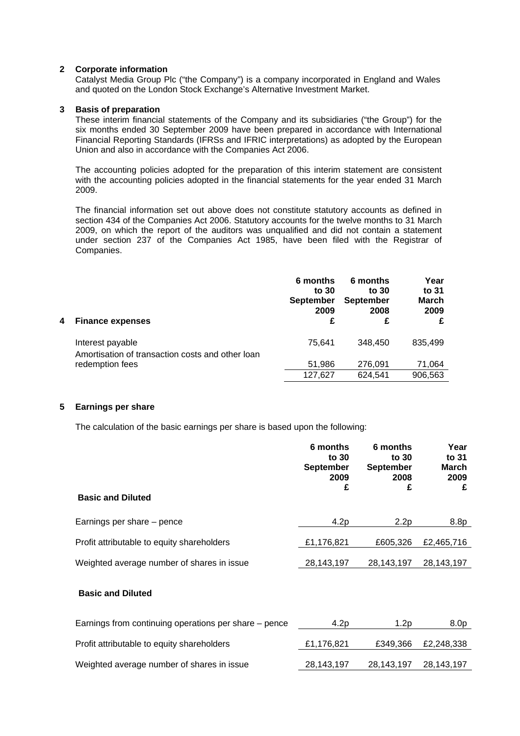#### **2 Corporate information**

Catalyst Media Group Plc ("the Company") is a company incorporated in England and Wales and quoted on the London Stock Exchange's Alternative Investment Market.

#### **3 Basis of preparation**

These interim financial statements of the Company and its subsidiaries ("the Group") for the six months ended 30 September 2009 have been prepared in accordance with International Financial Reporting Standards (IFRSs and IFRIC interpretations) as adopted by the European Union and also in accordance with the Companies Act 2006.

The accounting policies adopted for the preparation of this interim statement are consistent with the accounting policies adopted in the financial statements for the year ended 31 March 2009.

The financial information set out above does not constitute statutory accounts as defined in section 434 of the Companies Act 2006. Statutory accounts for the twelve months to 31 March 2009, on which the report of the auditors was unqualified and did not contain a statement under section 237 of the Companies Act 1985, have been filed with the Registrar of Companies.

| 4 | <b>Finance expenses</b>                                              | 6 months<br>to $30$<br><b>September</b><br>2009<br>£ | 6 months<br>to 30<br><b>September</b><br>2008<br>£ | Year<br>to 31<br><b>March</b><br>2009<br>£ |
|---|----------------------------------------------------------------------|------------------------------------------------------|----------------------------------------------------|--------------------------------------------|
|   | Interest payable<br>Amortisation of transaction costs and other loan | 75.641                                               | 348,450                                            | 835.499                                    |
|   | redemption fees                                                      | 51,986<br>127,627                                    | 276,091<br>624,541                                 | 71,064<br>906,563                          |

#### **5 Earnings per share**

The calculation of the basic earnings per share is based upon the following:

|                                            | 6 months<br>to 30<br><b>September</b><br>2009<br>£ | 6 months<br>to 30<br><b>September</b><br>2008<br>£ | Year<br>to 31<br><b>March</b><br>2009<br>£ |
|--------------------------------------------|----------------------------------------------------|----------------------------------------------------|--------------------------------------------|
| <b>Basic and Diluted</b>                   |                                                    |                                                    |                                            |
| Earnings per share – pence                 | 4.2p                                               | 2.2p                                               | 8.8p                                       |
| Profit attributable to equity shareholders | £1,176,821                                         | £605,326                                           | £2,465,716                                 |
| Weighted average number of shares in issue | 28,143,197                                         | 28, 143, 197                                       | 28,143,197                                 |

### **Basic and Diluted**

| Earnings from continuing operations per share – pence | 4.2 <sub>D</sub> | 1.2p       | 8.0p       |
|-------------------------------------------------------|------------------|------------|------------|
| Profit attributable to equity shareholders            | £1,176,821       | £349.366   | £2,248,338 |
| Weighted average number of shares in issue            | 28,143,197       | 28.143.197 | 28,143,197 |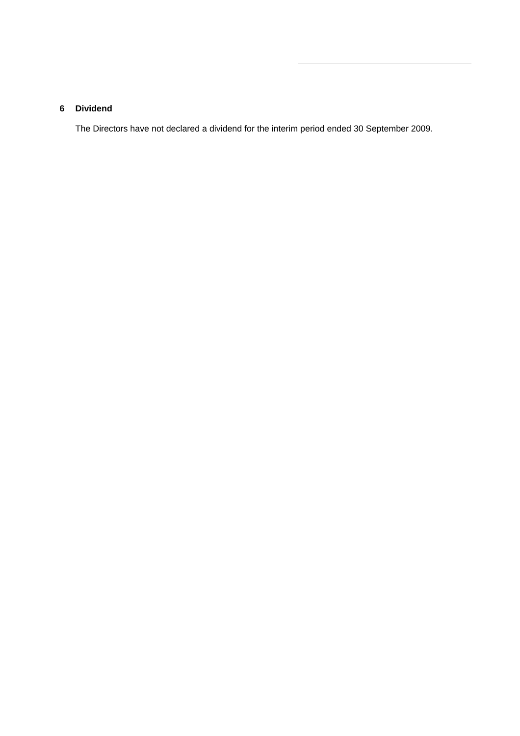## **6 Dividend**

The Directors have not declared a dividend for the interim period ended 30 September 2009.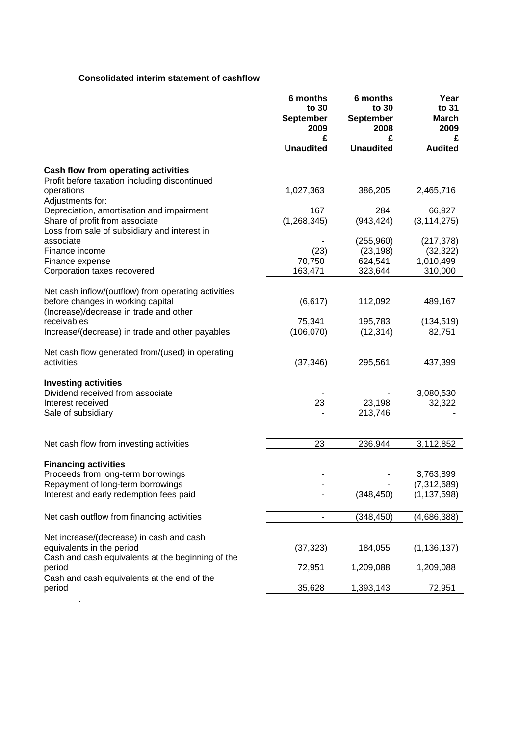# **Consolidated interim statement of cashflow**

| £<br><b>Unaudited</b><br><b>Unaudited</b><br><b>Audited</b><br>Cash flow from operating activities<br>Profit before taxation including discontinued<br>operations<br>1,027,363<br>386,205<br>2,465,716<br>Adjustments for:<br>Depreciation, amortisation and impairment<br>167<br>284<br>66,927<br>(1, 268, 345)<br>Share of profit from associate<br>(943, 424)<br>(3, 114, 275)<br>Loss from sale of subsidiary and interest in<br>associate<br>(255,960)<br>(217, 378)<br>(23)<br>(32, 322)<br>Finance income<br>(23, 198)<br>1,010,499<br>70,750<br>624,541<br>Finance expense<br>163,471<br>323,644<br>310,000<br>Corporation taxes recovered<br>Net cash inflow/(outflow) from operating activities<br>before changes in working capital<br>(6,617)<br>112,092<br>489,167<br>(Increase)/decrease in trade and other<br>75,341<br>receivables<br>195,783<br>(134, 519)<br>(106,070)<br>Increase/(decrease) in trade and other payables<br>(12, 314)<br>82,751<br>Net cash flow generated from/(used) in operating<br>activities<br>(37, 346)<br>295,561<br>437,399<br><b>Investing activities</b><br>Dividend received from associate<br>3,080,530<br>Interest received<br>23<br>32,322<br>23,198<br>Sale of subsidiary<br>213,746<br>23<br>236,944<br>3,112,852<br>Net cash flow from investing activities<br><b>Financing activities</b><br>Proceeds from long-term borrowings<br>3,763,899<br>Repayment of long-term borrowings<br>(7, 312, 689)<br>Interest and early redemption fees paid<br>(348, 450)<br>(1, 137, 598)<br>Net cash outflow from financing activities<br>(348,450)<br>(4,686,388)<br>Net increase/(decrease) in cash and cash<br>equivalents in the period<br>(37, 323)<br>(1, 136, 137)<br>184,055<br>Cash and cash equivalents at the beginning of the<br>period<br>72,951<br>1,209,088<br>1,209,088<br>Cash and cash equivalents at the end of the<br>period<br>35,628<br>1,393,143<br>72,951 | 6 months<br>to 30<br><b>September</b><br>2009<br>£ | 6 months<br>to 30<br><b>September</b><br>2008<br>£ | Year<br>to 31<br><b>March</b><br>2009 |
|-----------------------------------------------------------------------------------------------------------------------------------------------------------------------------------------------------------------------------------------------------------------------------------------------------------------------------------------------------------------------------------------------------------------------------------------------------------------------------------------------------------------------------------------------------------------------------------------------------------------------------------------------------------------------------------------------------------------------------------------------------------------------------------------------------------------------------------------------------------------------------------------------------------------------------------------------------------------------------------------------------------------------------------------------------------------------------------------------------------------------------------------------------------------------------------------------------------------------------------------------------------------------------------------------------------------------------------------------------------------------------------------------------------------------------------------------------------------------------------------------------------------------------------------------------------------------------------------------------------------------------------------------------------------------------------------------------------------------------------------------------------------------------------------------------------------------------------------------------------------------------------------------------------------------------|----------------------------------------------------|----------------------------------------------------|---------------------------------------|
|                                                                                                                                                                                                                                                                                                                                                                                                                                                                                                                                                                                                                                                                                                                                                                                                                                                                                                                                                                                                                                                                                                                                                                                                                                                                                                                                                                                                                                                                                                                                                                                                                                                                                                                                                                                                                                                                                                                             |                                                    |                                                    |                                       |
|                                                                                                                                                                                                                                                                                                                                                                                                                                                                                                                                                                                                                                                                                                                                                                                                                                                                                                                                                                                                                                                                                                                                                                                                                                                                                                                                                                                                                                                                                                                                                                                                                                                                                                                                                                                                                                                                                                                             |                                                    |                                                    |                                       |
|                                                                                                                                                                                                                                                                                                                                                                                                                                                                                                                                                                                                                                                                                                                                                                                                                                                                                                                                                                                                                                                                                                                                                                                                                                                                                                                                                                                                                                                                                                                                                                                                                                                                                                                                                                                                                                                                                                                             |                                                    |                                                    |                                       |
|                                                                                                                                                                                                                                                                                                                                                                                                                                                                                                                                                                                                                                                                                                                                                                                                                                                                                                                                                                                                                                                                                                                                                                                                                                                                                                                                                                                                                                                                                                                                                                                                                                                                                                                                                                                                                                                                                                                             |                                                    |                                                    |                                       |
|                                                                                                                                                                                                                                                                                                                                                                                                                                                                                                                                                                                                                                                                                                                                                                                                                                                                                                                                                                                                                                                                                                                                                                                                                                                                                                                                                                                                                                                                                                                                                                                                                                                                                                                                                                                                                                                                                                                             |                                                    |                                                    |                                       |
|                                                                                                                                                                                                                                                                                                                                                                                                                                                                                                                                                                                                                                                                                                                                                                                                                                                                                                                                                                                                                                                                                                                                                                                                                                                                                                                                                                                                                                                                                                                                                                                                                                                                                                                                                                                                                                                                                                                             |                                                    |                                                    |                                       |
|                                                                                                                                                                                                                                                                                                                                                                                                                                                                                                                                                                                                                                                                                                                                                                                                                                                                                                                                                                                                                                                                                                                                                                                                                                                                                                                                                                                                                                                                                                                                                                                                                                                                                                                                                                                                                                                                                                                             |                                                    |                                                    |                                       |
|                                                                                                                                                                                                                                                                                                                                                                                                                                                                                                                                                                                                                                                                                                                                                                                                                                                                                                                                                                                                                                                                                                                                                                                                                                                                                                                                                                                                                                                                                                                                                                                                                                                                                                                                                                                                                                                                                                                             |                                                    |                                                    |                                       |
|                                                                                                                                                                                                                                                                                                                                                                                                                                                                                                                                                                                                                                                                                                                                                                                                                                                                                                                                                                                                                                                                                                                                                                                                                                                                                                                                                                                                                                                                                                                                                                                                                                                                                                                                                                                                                                                                                                                             |                                                    |                                                    |                                       |
|                                                                                                                                                                                                                                                                                                                                                                                                                                                                                                                                                                                                                                                                                                                                                                                                                                                                                                                                                                                                                                                                                                                                                                                                                                                                                                                                                                                                                                                                                                                                                                                                                                                                                                                                                                                                                                                                                                                             |                                                    |                                                    |                                       |
|                                                                                                                                                                                                                                                                                                                                                                                                                                                                                                                                                                                                                                                                                                                                                                                                                                                                                                                                                                                                                                                                                                                                                                                                                                                                                                                                                                                                                                                                                                                                                                                                                                                                                                                                                                                                                                                                                                                             |                                                    |                                                    |                                       |
|                                                                                                                                                                                                                                                                                                                                                                                                                                                                                                                                                                                                                                                                                                                                                                                                                                                                                                                                                                                                                                                                                                                                                                                                                                                                                                                                                                                                                                                                                                                                                                                                                                                                                                                                                                                                                                                                                                                             |                                                    |                                                    |                                       |
|                                                                                                                                                                                                                                                                                                                                                                                                                                                                                                                                                                                                                                                                                                                                                                                                                                                                                                                                                                                                                                                                                                                                                                                                                                                                                                                                                                                                                                                                                                                                                                                                                                                                                                                                                                                                                                                                                                                             |                                                    |                                                    |                                       |
|                                                                                                                                                                                                                                                                                                                                                                                                                                                                                                                                                                                                                                                                                                                                                                                                                                                                                                                                                                                                                                                                                                                                                                                                                                                                                                                                                                                                                                                                                                                                                                                                                                                                                                                                                                                                                                                                                                                             |                                                    |                                                    |                                       |
|                                                                                                                                                                                                                                                                                                                                                                                                                                                                                                                                                                                                                                                                                                                                                                                                                                                                                                                                                                                                                                                                                                                                                                                                                                                                                                                                                                                                                                                                                                                                                                                                                                                                                                                                                                                                                                                                                                                             |                                                    |                                                    |                                       |
|                                                                                                                                                                                                                                                                                                                                                                                                                                                                                                                                                                                                                                                                                                                                                                                                                                                                                                                                                                                                                                                                                                                                                                                                                                                                                                                                                                                                                                                                                                                                                                                                                                                                                                                                                                                                                                                                                                                             |                                                    |                                                    |                                       |